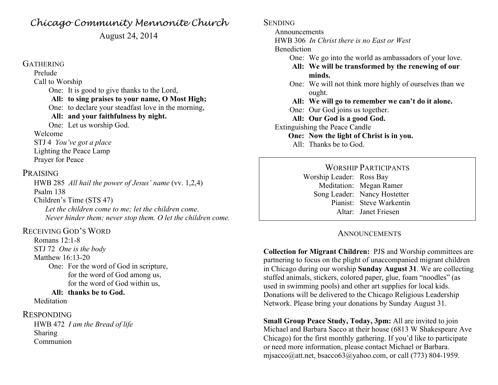## *Chicago Community Mennonite Church*

August 24, 2014

#### **GATHERING**

Prelude Call to Worship One: It is good to give thanks to the Lord, **All: to sing praises to your name, O Most High;** One: to declare your steadfast love in the morning, **All: and your faithfulness by night.**

One: Let us worship God.

#### Welcome

STJ 4 *You've got a place* Lighting the Peace Lamp Prayer for Peace

## PRAISING

HWB 285 *All hail the power of Jesus' name* (vv. 1,2,4) Psalm 138 Children's Time (STS 47) *Let the children come to me; let the children come. Never hinder them; never stop them. O let the children come.*

## RECEIVING GOD'S WORD

Romans 12:1-8 STJ 72 *One is the body* Matthew 16:13-20 One: For the word of God in scripture, for the word of God among us, for the word of God within us,

### **All: thanks be to God.**

Meditation

#### RESPONDING

HWB 472 *I am the Bread of life* Sharing Communion

**SENDING** 

Announcements

HWB 306 *In Christ there is no East or West*

#### **Benediction**

- One: We go into the world as ambassadors of your love.
- **All: We will be transformed by the renewing of our minds.**
- One: We will not think more highly of ourselves than we ought.
- **All: We will go to remember we can't do it alone.**
- One: Our God joins us together.
- **All: Our God is a good God.**
- Extinguishing the Peace Candle
	- **One: Now the light of Christ is in you.**
	- All: Thanks be to God.

WORSHIP PARTICIPANTS Worship Leader: Ross Bay Meditation: Megan Ramer Song Leader: Nancy Hostetter Pianist: Steve Warkentin Altar: Janet Friesen

## **ANNOUNCEMENTS**

**Collection for Migrant Children:** PJS and Worship committees are partnering to focus on the plight of unaccompanied migrant children in Chicago during our worship **Sunday August 31**. We are collecting stuffed animals, stickers, colored paper, glue, foam "noodles" (as used in swimming pools) and other art supplies for local kids. Donations will be delivered to the Chicago Religious Leadership Network. Please bring your donations by Sunday August 31.

**Small Group Peace Study, Today, 3pm:** All are invited to join Michael and Barbara Sacco at their house (6813 W Shakespeare Ave Chicago) for the first monthly gathering. If you'd like to participate or need more information, please contact Michael or Barbara. misacco@att.net, bsacco63@yahoo.com, or call (773) 804-1959.